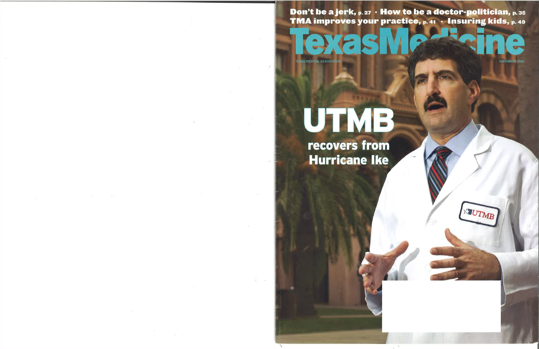Don't be a jerk, p. 27 . How to be a doctor-politician, p. 35 TMA improves your practice, p. 41 · Insuring kids, p. 49

 $F<sub>1</sub>$ **TEXAS MEDICAL ASSOCIATION** 



XIUTMB

# UTMB

recovers from **Hurricane Ike**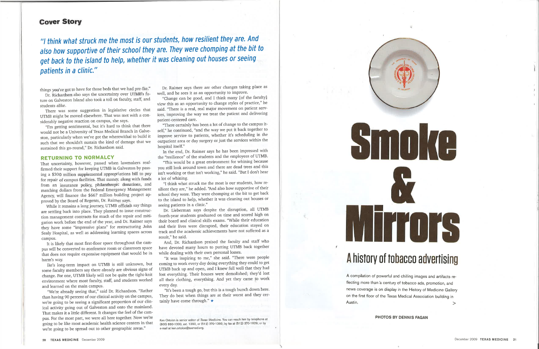### Gover Story

"l think what struck me the most is our students, how resilient they are. And also how supportive of their school they are. They were chompinq at the bit to get back to the island to help, whether it was cleaning out houses or seeing patients in a clinic."

things you've got to have for those beds that we had pre-Ike."

Dr. Richardson also says the uncertainty over UTMB's future on Galveston Island also took a toll on faculty, staff, and students alike.

That uncertainty, however, passed when lawmakers reaffirmed their support for keeping UTMB in Galveston by passing a \$300 million supplemental appropriations bill to pay for repair of campus facilities. That money, along with funds from an insurance policy, philanthropic donations, and matching dollars from the Federal Emergency Management Agency, will finance the \$667 million building project approved by the Board of Regents, Dr. Raimer says.

There was some suggestion in legislative circles that UTMB might be moved elsewhere. That was met with a considerably negative reaction on campus, she says.

"I'm getting sentimental, but it's hard to think that there would not be a University of Texas Medical Branch in Galveston, particularly when we've got the wherewithal to build it such that we shouldn't sustain the kind of damage that we sustained this go-round," Dr. Richardson said,

#### RETURNING TO NORMALCY

Ike's long-term impact on UTMB is still unknown, but some faculty members say there already are obvious signs of change. For one, UTMB likely will not be quite the tight-knit environment where most faculty, staff, and students worked and learned on the main campus.

While it remains a long journey, UTMB officials say things are settling back into place. They planned to issue construction management contracts for much of the repair and mitigation work before the end of the year, and Dr. Raimer says they have some "impressive plans" for restructuring John Sealy Hospital, as well as addressing learning spaces across campus.

In the end, Dr. Raimer says he has been impressed with the "resilience" of the students and the employees of UTMB.

It is likely that most first-floor space throughout the campus will be converted to conference room or classroom space that does not require expensive equipment that would be in harm's way.

"We're already seeing that," said Dr. Richardson. "Rather than having 90 percent of our clinical activity on the campus, we're going to be seeing a significant proportion of our clinical activity going out of Galveston and onto the mainland. That makes it a little different. It changes the feel of the campus. For the most part, we were all here together. Now we're going to be like most academic health science centers in that we're going to be spread out to other geographic areas."

Ken Ortolon is senior editor of Texas Medicine. You can reach him by telephone at (8OO) 880-1 3OO, ext. 1 392, or (51 2) 370-1 392; by fax at (51 2) 370-1 629; or by e-mail at ken.ortolon@texmed.org.

## A history of tobacco advertising

A compilation of powerful and chilling images and artifacts reflecting more than a century of tobacco ads, promotion, and news coverage is on display in the History of Medicine Gallery on the first floor of the Texas Medical Association building in Austin.  $>$ 

Dr. Raimer says there are other changes taking place as well, and he sees it as an opportunity to improve.

"Change can be good, and I think many lof the facultyl view this as an opportunity to change styles of practice," he said. "There is a real, real major movement on patient services, improving the way we treat the patient and delivering patient-centered care.

"There certainly has been a lot of change to the campus itself," he continued, "and the way we put it back together to improve service to patients, whether it's scheduling in the outpatient area or day surgery or just the services within the hospital itself."

"This would be a great environment for whining because you still look around town and there are dead trees and this isn't working or that isn't working," he said. "But I don't hear a lot of whining.

"I think what struck me the most is our students, how resilient they are," he added. "And also how supportive of their school they were. They were chomping at the bit to get back to the island to help, whether it was cleaning out houses or seeing patients in a clinic."

Dr. Lieberman says despite the disruption, all UTMB fourth-year students graduated on time and scored high on their board and clinical skills exams. "While their education and their lives were disrupted, their education stayed on track and the academic achievements have not suffered as a result," he said.

And, Dr. Richardson praised the faculty and staff who have devoted many hours to putting UTMB back together while dealing with their own personal losses.

"It was inspiring to me," she said. "There were people coming to work every day doing everything they could to get UTMB back up and open, and I knew full well that they had lost everything. Their houses were demolished; they'd lost all their clothing, everything. And yet they came to work every day.

"It's been a tough go, but this is a tough bunch down here. They do best when things are at their worst and they certainly have come through."  $\star$ 



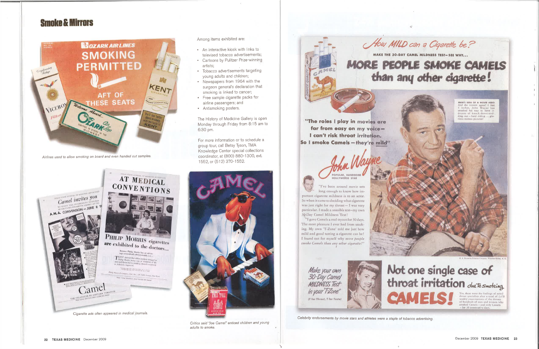## **Smoke & Mirrors**



Airlines used to allow smoking on board and even handed out samples.

#### Among items exhibited are:

- An interactive kiosk with links to televised tobacco advertisements;
- Cartoons by Pulitzer Prize-winning artists:
- Tobacco advertisements targeting young adults and children;
- Newspapers from 1964 with the surgeon general's declaration that smoking is linked to cancer;
- Free sample cigarette packs for airline passengers; and
- Antismoking posters.

The History of Medicine Gallery is open Monday through Friday from 8:15 am to 6:30 pm.

For more information or to schedule a group tour, call Betsy Tyson, TMA Knowledge Center special collections coordinator, at (800) 880-1300, ext. 1552, or (512) 370-1552.





Critics said "Joe Camel" enticed children and young adults to smoke.



"The roles I play in movies are far from easy on my voice-I can't risk throat irritation. So I smoke Camels-they're mild"

**PULAR, HANDSOME OLLYWOOD STAR** "I've been around movie sets long enough to know how important cigarette mildness is to an actor.

So when it came to deciding what cigarette was just right for my throat  $-1$  was very particular. I made a sensible test-my own 30-Day Camel Mildness Test!

"I gave Camels a real tryout for 30 days. The most pleasure I ever had from smoking. My own 'T-Zone' told me just how mild and good tasting a cigarette can be! I found out for myself why more people smoke Camels than any other cigarette!"

Make your own 30-Day Camel **MILDNESS Test** in your T-Zone" (T for Throat, T for Taste)



Celebrity endorsements by movie stars and athletes were a staple of tobacco advertising.